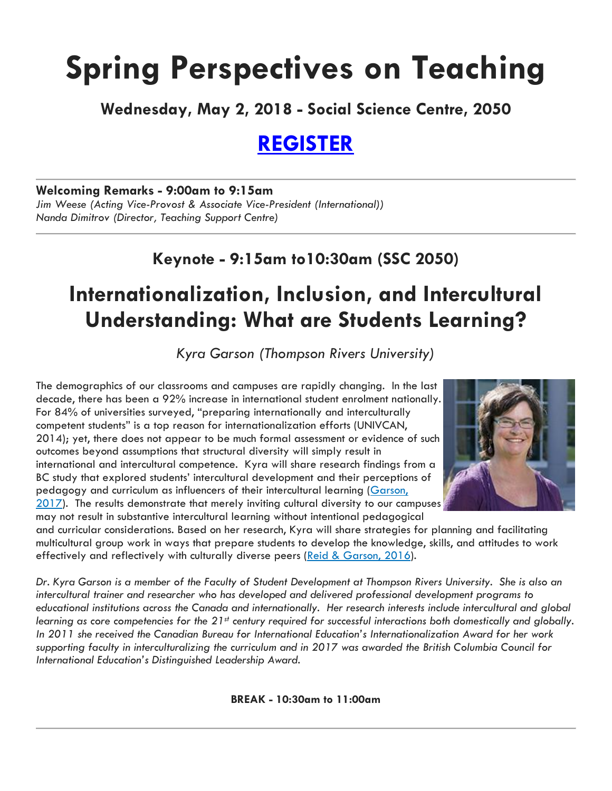# **Spring Perspectives on Teaching**

**Wednesday, May 2, 2018 - Social Science Centre, 2050**

# **[REGISTER](http://www.uwo.ca/tsc/faculty_programs/perspectives/current_conference.html)**

#### **Welcoming Remarks - 9:00am to 9:15am**

*Jim Weese (Acting Vice-Provost & Associate Vice-President (International)) Nanda Dimitrov (Director, Teaching Support Centre)*

# **Keynote - 9:15am to10:30am (SSC 2050)**

# **Internationalization, Inclusion, and Intercultural Understanding: What are Students Learning?**

*Kyra Garson (Thompson Rivers University)*

The demographics of our classrooms and campuses are rapidly changing. In the last decade, there has been a 92% increase in international student enrolment nationally. For 84% of universities surveyed, "preparing internationally and interculturally competent students" is a top reason for internationalization efforts (UNIVCAN, 2014); yet, there does not appear to be much formal assessment or evidence of such outcomes beyond assumptions that structural diversity will simply result in international and intercultural competence. Kyra will share research findings from a BC study that explored students' intercultural development and their perceptions of pedagogy and curriculum as influencers of their intercultural learning [\(Garson,](https://books.google.ca/books?hl=en&lr=&id=WSeRDQAAQBAJ&oi=fnd&pg=PA54&dq=Internationalization+and+intercultural+learning:+A+mixed+method++inquiry&ots=j-yOoRRbjn&sig=FF-LsL0Hbrg_yGJ4VGU2b8zPqP0#v=onepage&q&f=false) [2017\)](https://books.google.ca/books?hl=en&lr=&id=WSeRDQAAQBAJ&oi=fnd&pg=PA54&dq=Internationalization+and+intercultural+learning:+A+mixed+method++inquiry&ots=j-yOoRRbjn&sig=FF-LsL0Hbrg_yGJ4VGU2b8zPqP0#v=onepage&q&f=false). The results demonstrate that merely inviting cultural diversity to our campuses may not result in substantive intercultural learning without intentional pedagogical



and curricular considerations. Based on her research, Kyra will share strategies for planning and facilitating multicultural group work in ways that prepare students to develop the knowledge, skills, and attitudes to work effectively and reflectively with culturally diverse peers (Reid & [Garson,](http://journals.sagepub.com/doi/abs/10.1177/1028315316662981) 2016).

Dr. Kyra Garson is a member of the Faculty of Student Development at Thompson Rivers University. She is also an *intercultural trainer and researcher who has developed and delivered professional development programs to educational institutions across the Canada and internationally. Her research interests include intercultural and global* learning as core competencies for the 21st century required for successful interactions both domestically and globally. *In 2011 she received the Canadian Bureau for International Education's Internationalization Award for her work supporting faculty in interculturalizing the curriculum and in 2017 was awarded the British Columbia Council for International Education's Distinguished Leadership Award.*

**BREAK - 10:30am to 11:00am**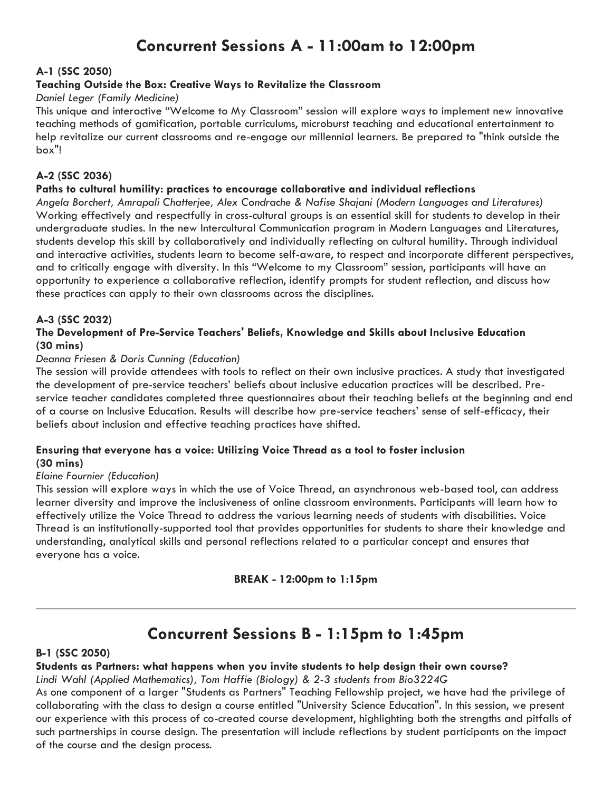# **Concurrent Sessions A - 11:00am to 12:00pm**

#### **A-1 (SSC 2050)**

#### **Teaching Outside the Box: Creative Ways to Revitalize the Classroom**

#### *Daniel Leger (Family Medicine)*

This unique and interactive "Welcome to My Classroom" session will explore ways to implement new innovative teaching methods of gamification, portable curriculums, microburst teaching and educational entertainment to help revitalize our current classrooms and re-engage our millennial learners. Be prepared to "think outside the box"!

#### **A-2 (SSC 2036)**

#### **Paths to cultural humility: practices to encourage collaborative and individual reflections**

*Angela Borchert, Amrapali Chatterjee, Alex Condrache & Nafise Shajani (Modern Languages and Literatures)* Working effectively and respectfully in cross-cultural groups is an essential skill for students to develop in their undergraduate studies. In the new Intercultural Communication program in Modern Languages and Literatures, students develop this skill by collaboratively and individually reflecting on cultural humility. Through individual and interactive activities, students learn to become self-aware, to respect and incorporate different perspectives, and to critically engage with diversity. In this "Welcome to my Classroom" session, participants will have an opportunity to experience a collaborative reflection, identify prompts for student reflection, and discuss how these practices can apply to their own classrooms across the disciplines.

#### **A-3 (SSC 2032)**

#### **The Development of Pre-Service Teachers' Beliefs, Knowledge and Skills about Inclusive Education (30 mins)**

#### *Deanna Friesen & Doris Cunning (Education)*

The session will provide attendees with tools to reflect on their own inclusive practices. A study that investigated the development of pre-service teachers' beliefs about inclusive education practices will be described. Preservice teacher candidates completed three questionnaires about their teaching beliefs at the beginning and end of a course on Inclusive Education. Results will describe how pre-service teachers' sense of self-efficacy, their beliefs about inclusion and effective teaching practices have shifted.

#### **Ensuring that everyone has a voice: Utilizing Voice Thread as a tool to foster inclusion (30 mins)**

#### *Elaine Fournier (Education)*

This session will explore ways in which the use of Voice Thread, an asynchronous web-based tool, can address learner diversity and improve the inclusiveness of online classroom environments. Participants will learn how to effectively utilize the Voice Thread to address the various learning needs of students with disabilities. Voice Thread is an institutionally-supported tool that provides opportunities for students to share their knowledge and understanding, analytical skills and personal reflections related to a particular concept and ensures that everyone has a voice.

#### **BREAK - 12:00pm to 1:15pm**

### **Concurrent Sessions B - 1:15pm to 1:45pm**

#### **B-1 (SSC 2050)**

#### **Students as Partners: what happens when you invite students to help design their own course?**

#### *Lindi Wahl (Applied Mathematics), Tom Haffie (Biology) & 2-3 students from Bio3224G*

As one component of a larger "Students as Partners" Teaching Fellowship project, we have had the privilege of collaborating with the class to design a course entitled "University Science Education". In this session, we present our experience with this process of co-created course development, highlighting both the strengths and pitfalls of such partnerships in course design. The presentation will include reflections by student participants on the impact of the course and the design process.